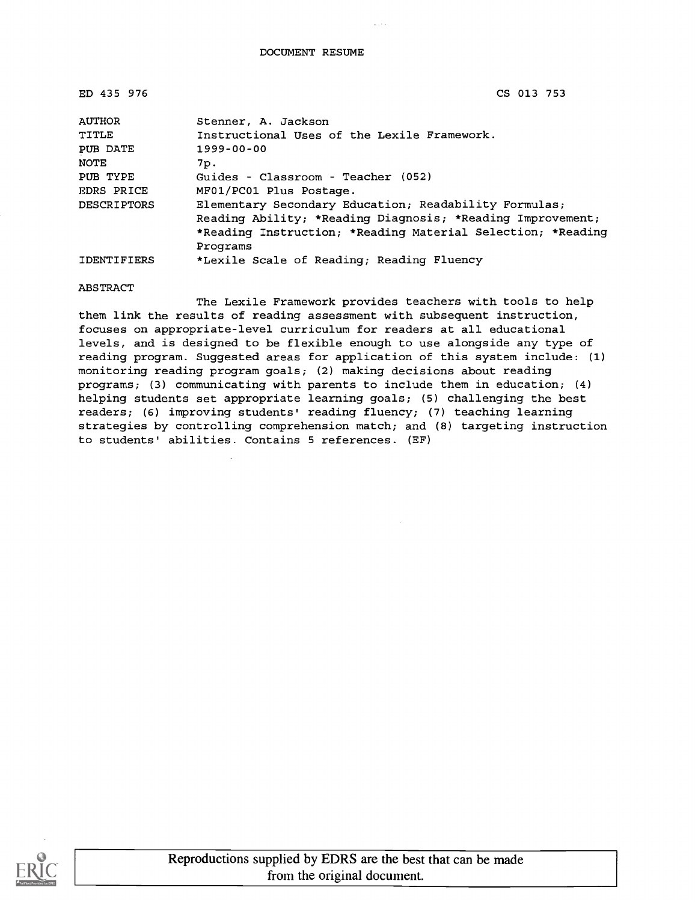| ED 435 976         | CS 013 753                                                  |
|--------------------|-------------------------------------------------------------|
| <b>AUTHOR</b>      | Stenner, A. Jackson                                         |
| TITLE              | Instructional Uses of the Lexile Framework.                 |
| PUB DATE           | $1999 - 00 - 00$                                            |
| <b>NOTE</b>        | 7p.                                                         |
| PUB TYPE           | Guides - Classroom - Teacher (052)                          |
| EDRS PRICE         | MF01/PC01 Plus Postage.                                     |
| <b>DESCRIPTORS</b> | Elementary Secondary Education; Readability Formulas;       |
|                    | Reading Ability; *Reading Diagnosis; *Reading Improvement;  |
|                    | *Reading Instruction; *Reading Material Selection; *Reading |
|                    | Programs                                                    |
| <b>IDENTIFIERS</b> | *Lexile Scale of Reading; Reading Fluency                   |

#### ABSTRACT

The Lexile Framework provides teachers with tools to help them link the results of reading assessment with subsequent instruction, focuses on appropriate-level curriculum for readers at all educational levels, and is designed to be flexible enough to use alongside any type of reading program. Suggested areas for application of this system include: (1) monitoring reading program goals; (2) making decisions about reading programs; (3) communicating with parents to include them in education; (4) helping students set appropriate learning goals; (5) challenging the best readers; (6) improving students' reading fluency; (7) teaching learning strategies by controlling comprehension match; and (8) targeting instruction to students' abilities. Contains 5 references. (EF)

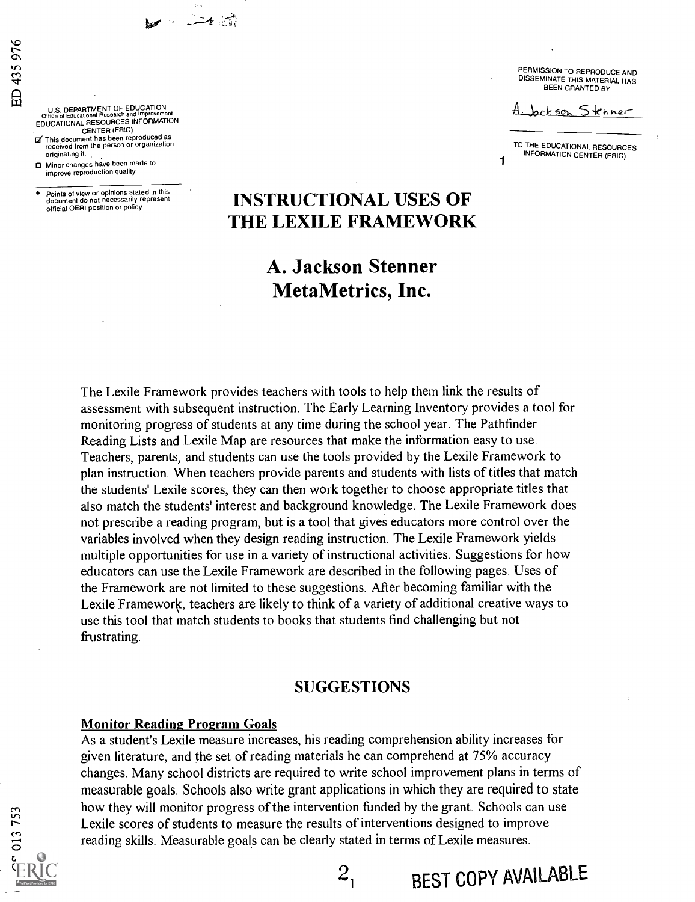U.S. DEPARTMENT OF EDUCATION<br>Office of Educational Research and Improveme Office of Educational Research and Improvement<br>EDUCATIONAL RESOURCES INFORMATION

40's (1990)

CENTER (ERIC)<br>IV This document has been reproduced as<br>received from the person or organization originating it.

Minor changes have been made to improve reproduction quality.

Points of view or opinions stated in this document do not necessarily represent<br>official OERI position or policy.

PERMISSION TO REPRODUCE AND DISSEMINATE THIS MATERIAL HAS BEEN GRANTED BY

Jackson Stenner

TO THE EDUCATIONAL RESOURCES INFORMATION CENTER (ERIC)

## **INSTRUCTIONAL USES OF** THE LEXILE FRAMEWORK

## A. Jackson Stenner MetaMetrics, Inc.

The Lexile Framework provides teachers with tools to help them link the results of assessment with subsequent instruction. The Early Learning Inventory provides a tool for monitoring progress of students at any time during the school year. The Pathfinder Reading Lists and Lexile Map are resources that make the information easy to use. Teachers, parents, and students can use the tools provided by the Lexile Framework to plan instruction. When teachers provide parents and students with lists of titles that match the students' Lexile scores, they can then work together to choose appropriate titles that also match the students' interest and background knowledge. The Lexile Framework does not prescribe a reading program, but is a tool that gives educators more control over the variables involved when they design reading instruction. The Lexile Framework yields multiple opportunities for use in a variety of instructional activities. Suggestions for how educators can use the Lexile Framework are described in the following pages. Uses of the Framework are not limited to these suggestions. After becoming familiar with the Lexile Framework, teachers are likely to think of a variety of additional creative ways to use this tool that match students to books that students find challenging but not frustrating.

#### SUGGESTIONS

 $2<sub>1</sub>$  BEST COPY AVAILABLE

#### Monitor Reading Program Goals

As a student's Lexile measure increases, his reading comprehension ability increases for given literature, and the set of reading materials he can comprehend at 75% accuracy changes. Many school districts are required to write school improvement plans in terms of measurable goals. Schools also write grant applications in which they are required to state how they will monitor progress of the intervention funded by the grant. Schools can use Exile scores of students to measure the results of interventions designed to improve<br>reading skills. Measurable goals can be clearly stated in terms of Lexile measures. reading skills. Measurable goals can be clearly stated in terms of Lexile measures.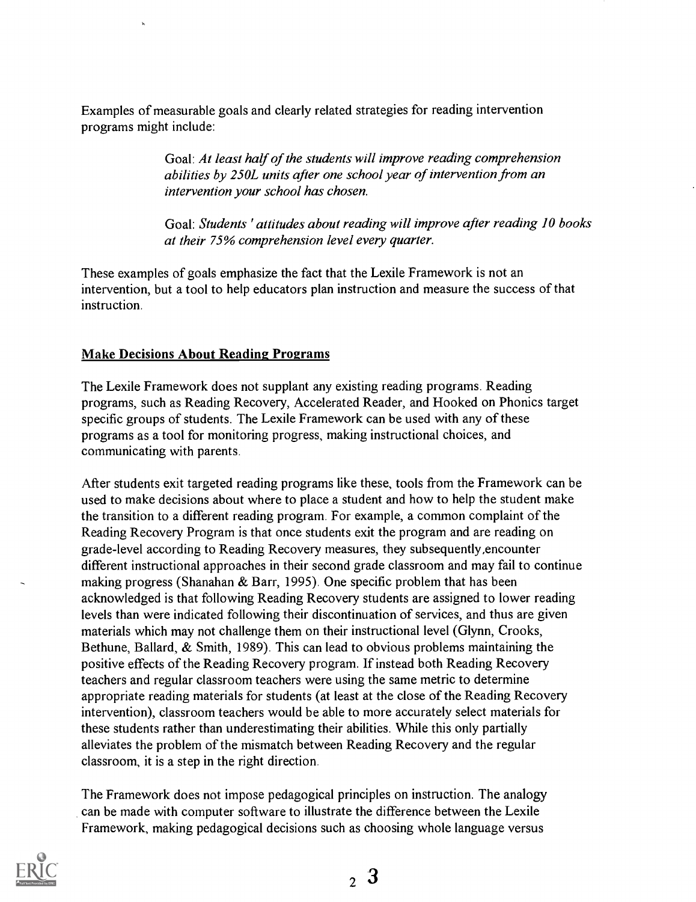Examples of measurable goals and clearly related strategies for reading intervention programs might include:

> Goal: At least half of the students will improve reading comprehension abilities by 250L units after one school year of intervention from an intervention your school has chosen.

Goal: Students ' attitudes about reading will improve after reading 10 books at their 75% comprehension level every quarter.

These examples of goals emphasize the fact that the Lexile Framework is not an intervention, but a tool to help educators plan instruction and measure the success of that instruction.

#### Make Decisions About Reading Programs

The Lexile Framework does not supplant any existing reading programs. Reading programs, such as Reading Recovery, Accelerated Reader, and Hooked on Phonics target specific groups of students. The Lexile Framework can be used with any of these programs as a tool for monitoring progress, making instructional choices, and communicating with parents.

After students exit targeted reading programs like these, tools from the Framework can be used to make decisions about where to place a student and how to help the student make the transition to a different reading program. For example, a common complaint of the Reading Recovery Program is that once students exit the program and are reading on grade-level according to Reading Recovery measures, they subsequently,encounter different instructional approaches in their second grade classroom and may fail to continue making progress (Shanahan & Barr, 1995). One specific problem that has been acknowledged is that following Reading Recovery students are assigned to lower reading levels than were indicated following their discontinuation of services, and thus are given materials which may not challenge them on their instructional level (Glynn, Crooks, Bethune, Ballard, & Smith, 1989). This can lead to obvious problems maintaining the positive effects of the Reading Recovery program. If instead both Reading Recovery teachers and regular classroom teachers were using the same metric to determine appropriate reading materials for students (at least at the close of the Reading Recovery intervention), classroom teachers would be able to more accurately select materials for these students rather than underestimating their abilities. While this only partially alleviates the problem of the mismatch between Reading Recovery and the regular classroom, it is a step in the right direction.

The Framework does not impose pedagogical principles on instruction. The analogy can be made with computer software to illustrate the difference between the Lexile Framework, making pedagogical decisions such as choosing whole language versus

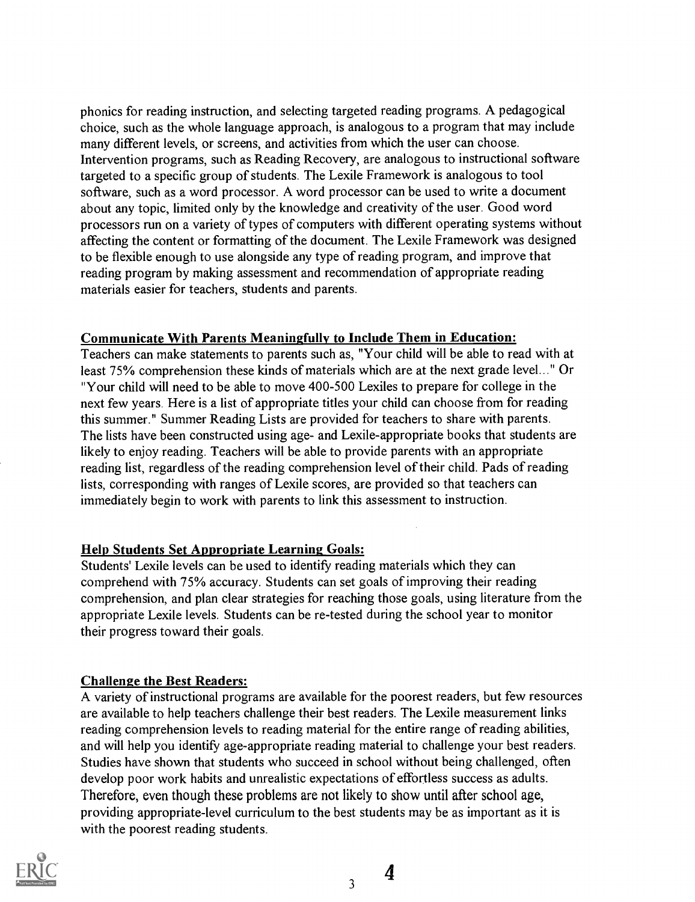phonics for reading instruction, and selecting targeted reading programs. A pedagogical choice, such as the whole language approach, is analogous to a program that may include many different levels, or screens, and activities from which the user can choose. Intervention programs, such as Reading Recovery, are analogous to instructional software targeted to a specific group of students. The Lexile Framework is analogous to tool software, such as a word processor. A word processor can be used to write a document about any topic, limited only by the knowledge and creativity of the user. Good word processors run on a variety of types of computers with different operating systems without affecting the content or formatting of the document. The Lexile Framework was designed to be flexible enough to use alongside any type of reading program, and improve that reading program by making assessment and recommendation of appropriate reading materials easier for teachers, students and parents.

#### Communicate With Parents Meaningfully to Include Them in Education:

Teachers can make statements to parents such as, "Your child will be able to read with at least 75% comprehension these kinds of materials which are at the next grade level..." Or "Your child will need to be able to move 400-500 Lexiles to prepare for college in the next few years. Here is a list of appropriate titles your child can choose from for reading this summer." Summer Reading Lists are provided for teachers to share with parents. The lists have been constructed using age- and Lexile-appropriate books that students are likely to enjoy reading. Teachers will be able to provide parents with an appropriate reading list, regardless of the reading comprehension level of their child. Pads of reading lists, corresponding with ranges of Lexile scores, are provided so that teachers can immediately begin to work with parents to link this assessment to instruction.

#### Help Students Set Appropriate Learning Goals:

Students' Lexile levels can be used to identify reading materials which they can comprehend with 75% accuracy. Students can set goals of improving their reading comprehension, and plan clear strategies for reaching those goals, using literature from the appropriate Lexile levels. Students can be re-tested during the school year to monitor their progress toward their goals.

#### Challenge the Best Readers:

A variety of instructional programs are available for the poorest readers, but few resources are available to help teachers challenge their best readers. The Lexile measurement links reading comprehension levels to reading material for the entire range of reading abilities, and will help you identify age-appropriate reading material to challenge your best readers. Studies have shown that students who succeed in school without being challenged, often develop poor work habits and unrealistic expectations of effortless success as adults. Therefore, even though these problems are not likely to show until after school age, providing appropriate-level curriculum to the best students may be as important as it is with the poorest reading students.



4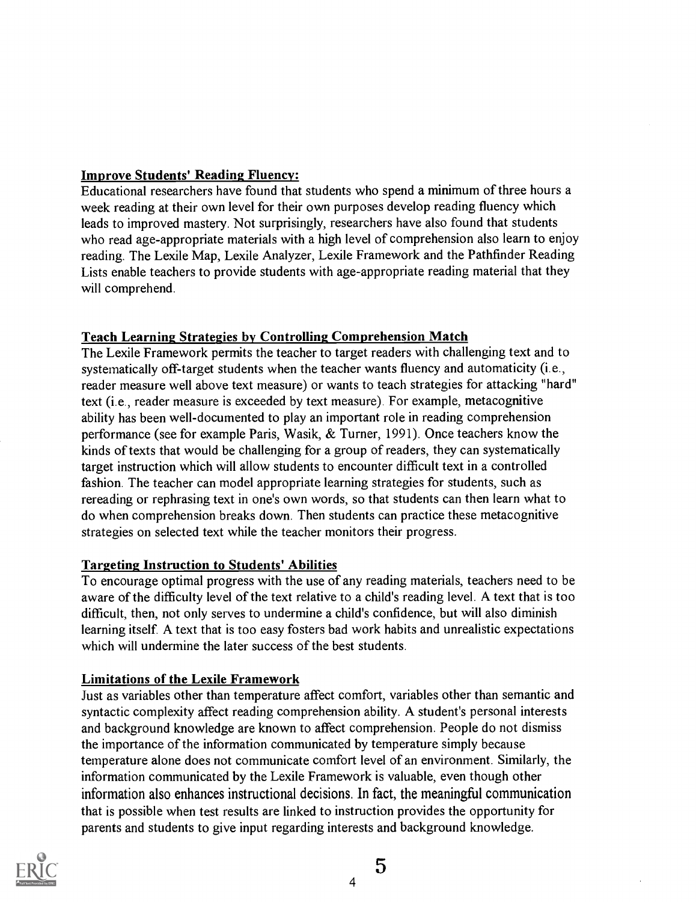### Improve Students' Reading Fluency:

Educational researchers have found that students who spend a minimum of three hours a week reading at their own level for their own purposes develop reading fluency which leads to improved mastery. Not surprisingly, researchers have also found that students who read age-appropriate materials with a high level of comprehension also learn to enjoy reading. The Lexile Map, Lexile Analyzer, Lexile Framework and the Pathfinder Reading Lists enable teachers to provide students with age-appropriate reading material that they will comprehend.

### Teach Learning Strategies by Controlling Comprehension Match

The Lexile Framework permits the teacher to target readers with challenging text and to systematically off-target students when the teacher wants fluency and automaticity (i.e., reader measure well above text measure) or wants to teach strategies for attacking "hard" text (i.e., reader measure is exceeded by text measure). For example, metacognitive ability has been well-documented to play an important role in reading comprehension performance (see for example Paris, Wasik, & Turner, 1991). Once teachers know the kinds of texts that would be challenging for a group of readers, they can systematically target instruction which will allow students to encounter difficult text in a controlled fashion. The teacher can model appropriate learning strategies for students, such as rereading or rephrasing text in one's own words, so that students can then learn what to do when comprehension breaks down. Then students can practice these metacognitive strategies on selected text while the teacher monitors their progress.

#### Targeting Instruction to Students' Abilities

To encourage optimal progress with the use of any reading materials, teachers need to be aware of the difficulty level of the text relative to a child's reading level. A text that is too difficult, then, not only serves to undermine a child's confidence, but will also diminish learning itself. A text that is too easy fosters bad work habits and unrealistic expectations which will undermine the later success of the best students.

#### Limitations of the Lexile Framework

Just as variables other than temperature affect comfort, variables other than semantic and syntactic complexity affect reading comprehension ability. A student's personal interests and background knowledge are known to affect comprehension. People do not dismiss the importance of the information communicated by temperature simply because temperature alone does not communicate comfort level of an environment. Similarly, the information communicated by the Lexile Framework is valuable, even though other information also enhances instructional decisions. In fact, the meaningful communication that is possible when test results are linked to instruction provides the opportunity for parents and students to give input regarding interests and background knowledge.

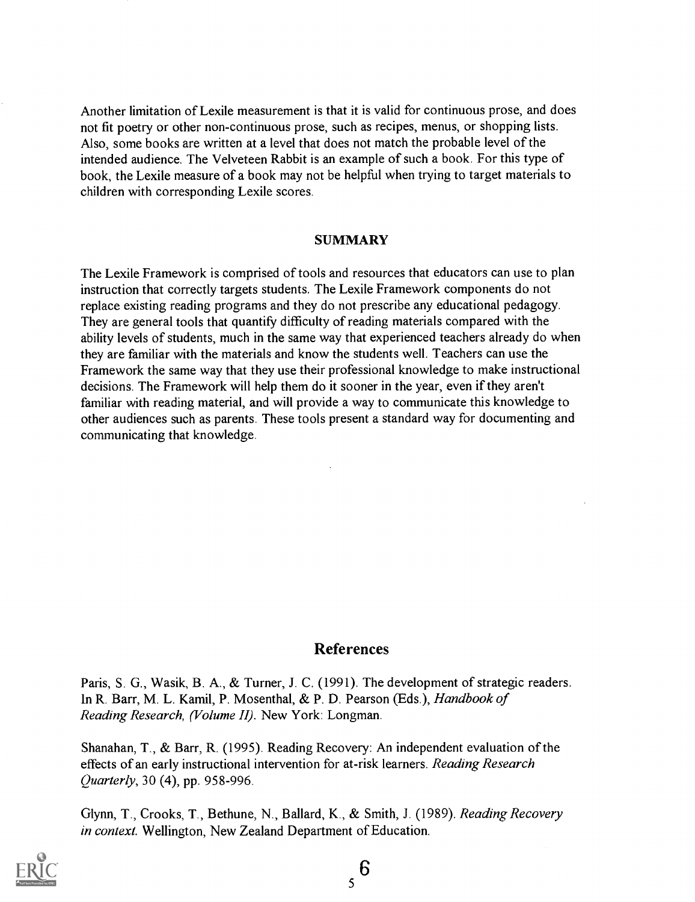Another limitation of Lexile measurement is that it is valid for continuous prose, and does not fit poetry or other non-continuous prose, such as recipes, menus, or shopping lists. Also, some books are written at a level that does not match the probable level of the intended audience. The Velveteen Rabbit is an example of such a book. For this type of book, the Lexile measure of a book may not be helpful when trying to target materials to children with corresponding Lexile scores.

#### SUMMARY

The Lexile Framework is comprised of tools and resources that educators can use to plan instruction that correctly targets students. The Lexile Framework components do not replace existing reading programs and they do not prescribe any educational pedagogy. They are general tools that quantify difficulty of reading materials compared with the ability levels of students, much in the same way that experienced teachers already do when they are familiar with the materials and know the students well. Teachers can use the Framework the same way that they use their professional knowledge to make instructional decisions. The Framework will help them do it sooner in the year, even if they aren't familiar with reading material, and will provide a way to communicate this knowledge to other audiences such as parents. These tools present a standard way for documenting and communicating that knowledge.

#### References

Paris, S. G., Wasik, B. A., & Turner, J. C. (1991). The development of strategic readers. In R. Barr, M. L. Kamil, P. Mosenthal, & P. D. Pearson (Eds.), Handbook of Reading Research, (Volume II). New York: Longman.

Shanahan, T., & Barr, R. (1995). Reading Recovery: An independent evaluation of the effects of an early instructional intervention for at-risk learners. Reading Research Quarterly, 30 (4), pp. 958-996.

Glynn, T., Crooks, T., Bethune, N., Ballard, K., & Smith, J. (1989). Reading Recovery in context. Wellington, New Zealand Department of Education.

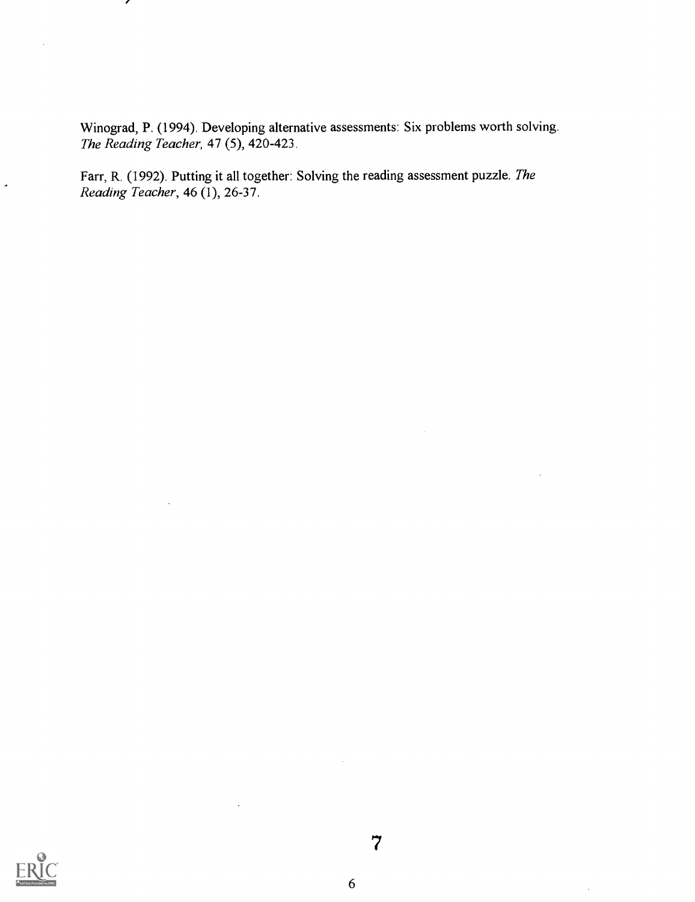Winograd, P. (1994). Developing alternative assessments: Six problems worth solving. The Reading Teacher, 47 (5), 420-423.

Farr, R. (1992). Putting it all together: Solving the reading assessment puzzle. The Reading Teacher, 46 (1), 26-37.

╭

 $\bar{z}$ 

 $\bar{\star}$ 

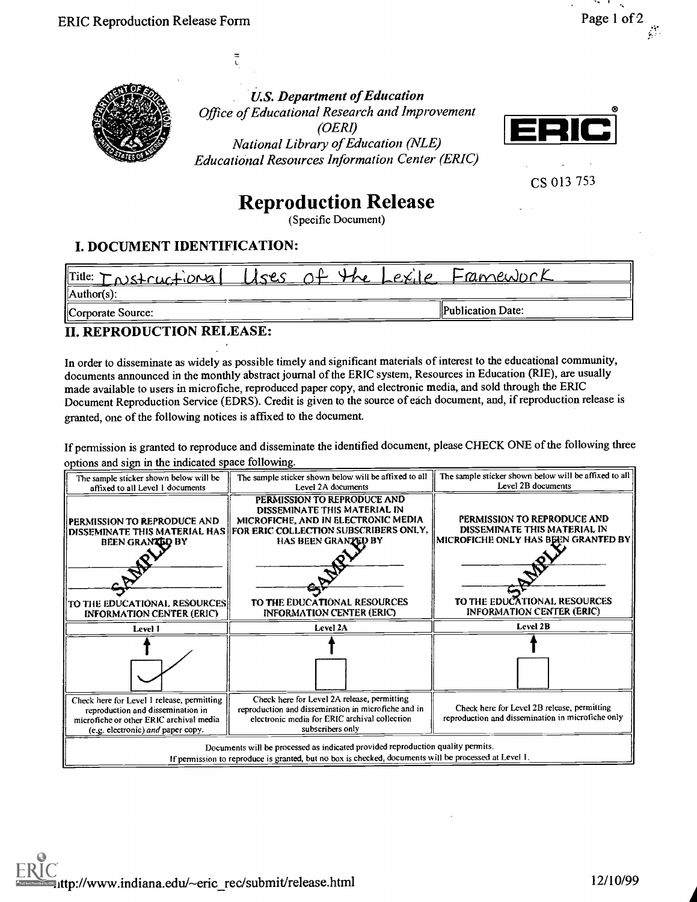

U.S. Department of Education Office of Educational Research and Improvement (OERI) National Library of Education (NLE) Educational Resources Information Center (ERIC)



CS 013 753

# Reproduction Release

(Specific Document)

### I. DOCUMENT IDENTIFICATION:

 $\bar{t}$ 

| $ $ Title: $T$ $\wedge$ $s$ + $\wedge$ $\wedge$ $\wedge$ $\wedge$ $\wedge$ $\wedge$<br>$\Delta$ uthor(s): | $1$ ses | $4\sigma$<br>aľ | Lex | Franculock        |  |
|-----------------------------------------------------------------------------------------------------------|---------|-----------------|-----|-------------------|--|
| Corporate Source:                                                                                         |         |                 |     | Publication Date: |  |

### II. REPRODUCTION RELEASE:

In order to disseminate as widely as possible timely and significant materials of interest to the educational community, documents announced in the monthly abstract journal of the ERIC system, Resources in Education (RIE), are usually made available to users in microfiche, reproduced paper copy, and electronic media, and sold through the ERIC Document Reproduction Service (EDRS). Credit is given to the source of each document, and, if reproduction release is granted, one of the following notices is affixed to the document.

If permission is granted to reproduce and disseminate the identified document, please CHECK ONE of the following three options and sign in the indicated space following.

| The sample sticker shown below will be                                                                                                                          | The sample sticker shown below will be affixed to all                                                                                                                                                                                   | The sample sticker shown below will be affixed to all   <br>Level 2B documents                                                     |
|-----------------------------------------------------------------------------------------------------------------------------------------------------------------|-----------------------------------------------------------------------------------------------------------------------------------------------------------------------------------------------------------------------------------------|------------------------------------------------------------------------------------------------------------------------------------|
| affixed to all Level 1 documents                                                                                                                                | Level 2A documents                                                                                                                                                                                                                      |                                                                                                                                    |
| PERMISSION TO REPRODUCE AND<br>BEEN GRANTED BY<br>TO THE EDUCATIONAL RESOURCES                                                                                  | PERMISSION TO REPRODUCE AND<br>DISSEMINATE THIS MATERIAL IN<br>MICROFICHE, AND IN ELECTRONIC MEDIA<br>DISSEMINATE THIS MATERIAL HAS FOR ERIC COLLECTION SUBSCRIBERS ONLY,<br><b>HAS BEEN GRANTED BY</b><br>TO THE EDUCATIONAL RESOURCES | PERMISSION TO REPRODUCE AND<br>DISSEMINATE THIS MATERIAL IN<br>MICROFICHE ONLY HAS BEEN GRANTED BY<br>TO THE EDUCATIONAL RESOURCES |
| <b>INFORMATION CENTER (ERIC)</b>                                                                                                                                | <b>INFORMATION CENTER (ERIC)</b>                                                                                                                                                                                                        | <b>INFORMATION CENTER (ERIC)</b>                                                                                                   |
| Level 1                                                                                                                                                         | Level 2A                                                                                                                                                                                                                                | Level 2B                                                                                                                           |
|                                                                                                                                                                 |                                                                                                                                                                                                                                         |                                                                                                                                    |
| Check here for Level 1 release, permitting<br>reproduction and dissemination in<br>microfiche or other ERIC archival media<br>(e.g. electronic) and paper copy. | Check here for Level 2A release, permitting<br>reproduction and dissemination in microfiche and in<br>electronic media for ERIC archival collection<br>subscribers only                                                                 | Check here for Level 2B release, permitting<br>reproduction and dissemination in microfiche only                                   |
|                                                                                                                                                                 | Documents will be processed as indicated provided reproduction quality permits.<br>If permission to reproduce is granted, but no box is checked, documents will be processed at Level 1.                                                |                                                                                                                                    |